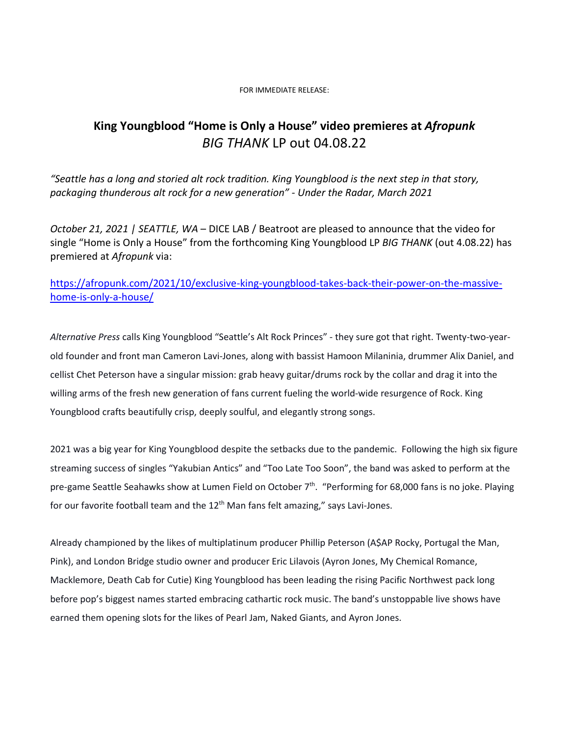## FOR IMMEDIATE RELEASE:

## **King Youngblood "Home is Only a House" video premieres at** *Afropunk BIG THANK* LP out 04.08.22

"Seattle has a long and storied alt rock tradition. King [Youngblood](http://www.undertheradarmag.com/artists/king_youngblood) is the next step in that story, *packaging thunderous alt rock for a new generation" - Under the Radar, March 2021*

*October 21, 2021 | SEATTLE, WA* – DICE LAB / Beatroot are pleased to announce that the video for single "Home is Only a House" from the forthcoming King Youngblood LP *BIG THANK* (out 4.08.22) has premiered at *Afropunk* via:

## [https://afropunk.com/2021/10/exclusive-king-youngblood-takes-back-their-power-on-the-massive](https://afropunk.com/2021/10/exclusive-king-youngblood-takes-back-their-power-on-the-massive-home-is-only-a-house/)[home-is-only-a-house/](https://afropunk.com/2021/10/exclusive-king-youngblood-takes-back-their-power-on-the-massive-home-is-only-a-house/)

*Alternative Press* calls King Youngblood "Seattle's Alt Rock Princes" - they sure got that right. Twenty-two-yearold founder and front man Cameron Lavi-Jones, along with bassist Hamoon Milaninia, drummer Alix Daniel, and cellist Chet Peterson have a singular mission: grab heavy guitar/drums rock by the collar and drag it into the willing arms of the fresh new generation of fans current fueling the world-wide resurgence of Rock. King Youngblood crafts beautifully crisp, deeply soulful, and elegantly strong songs.

2021 was a big year for King Youngblood despite the setbacks due to the pandemic. Following the high six figure streaming success of singles "Yakubian Antics" and "Too Late Too Soon", the band was asked to perform at the pre-game Seattle Seahawks show at Lumen Field on October 7<sup>th</sup>. "Performing for 68,000 fans is no joke. Playing for our favorite football team and the  $12<sup>th</sup>$  Man fans felt amazing," says Lavi-Jones.

Already championed by the likes of multiplatinum producer Phillip Peterson (A\$AP Rocky, Portugal the Man, Pink), and London Bridge studio owner and producer Eric Lilavois (Ayron Jones, My Chemical Romance, Macklemore, Death Cab for Cutie) King Youngblood has been leading the rising Pacific Northwest pack long before pop's biggest names started embracing cathartic rock music. The band's unstoppable live shows have earned them opening slots for the likes of Pearl Jam, Naked Giants, and Ayron Jones.